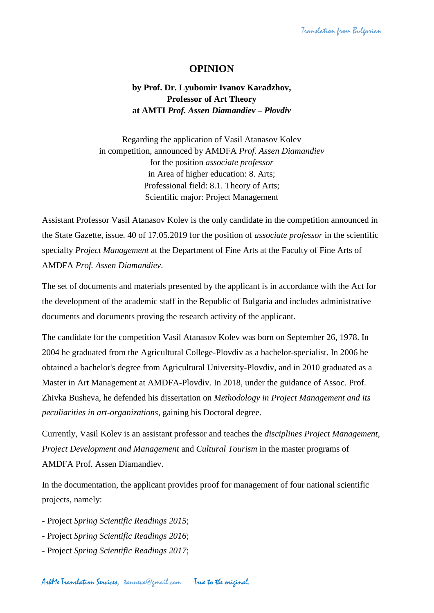## **OPINION**

**by Prof. Dr. Lyubomir Ivanov Karadzhov, Professor of Art Theory at AMTI** *Prof. Assen Diamandiev – Plovdiv*

Regarding the application of Vasil Atanasov Kolev in competition, announced by AMDFA *Prof. Assen Diamandiev* for the position *associate professor* in Area of higher education: 8. Arts; Professional field: 8.1. Theory of Arts; Scientific major: Project Management

Assistant Professor Vasil Atanasov Kolev is the only candidate in the competition announced in the State Gazette, issue. 40 of 17.05.2019 for the position of *associate professor* in the scientific specialty *Project Management* at the Department of Fine Arts at the Faculty of Fine Arts of AMDFA *Prof. Assen Diamandiev*.

The set of documents and materials presented by the applicant is in accordance with the Act for the development of the academic staff in the Republic of Bulgaria and includes administrative documents and documents proving the research activity of the applicant.

The candidate for the competition Vasil Atanasov Kolev was born on September 26, 1978. In 2004 he graduated from the Agricultural College-Plovdiv as a bachelor-specialist. In 2006 he obtained a bachelor's degree from Agricultural University-Plovdiv, and in 2010 graduated as a Master in Art Management at AMDFA-Plovdiv. In 2018, under the guidance of Assoc. Prof. Zhivka Busheva, he defended his dissertation on *Methodology in Project Management and its peculiarities in art-organizations*, gaining his Doctoral degree.

Currently, Vasil Kolev is an assistant professor and teaches the *disciplines Project Management, Project Development and Management* and *Cultural Tourism* in the master programs of AMDFA Prof. Assen Diamandiev.

In the documentation, the applicant provides proof for management of four national scientific projects, namely:

- Project *Spring Scientific Readings 2015*;

- Project *Spring Scientific Readings 2016*;
- Project *Spring Scientific Readings 2017*;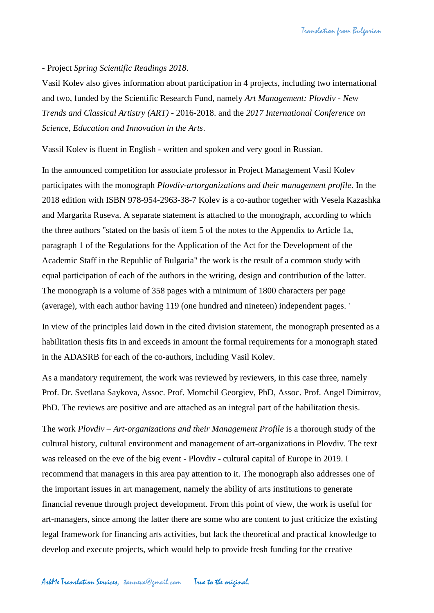## - Project *Spring Scientific Readings 2018*.

Vasil Kolev also gives information about participation in 4 projects, including two international and two, funded by the Scientific Research Fund, namely *Art Management: Plovdiv - New Trends and Classical Artistry (ART)* - 2016-2018. and the *2017 International Conference on Science, Education and Innovation in the Arts*.

Vassil Kolev is fluent in English - written and spoken and very good in Russian.

In the announced competition for associate professor in Project Management Vasil Kolev participates with the monograph *Plovdiv-artorganizations and their management profile*. In the 2018 edition with ISBN 978-954-2963-38-7 Kolev is a co-author together with Vesela Kazashka and Margarita Ruseva. A separate statement is attached to the monograph, according to which the three authors "stated on the basis of item 5 of the notes to the Appendix to Article 1a, paragraph 1 of the Regulations for the Application of the Act for the Development of the Academic Staff in the Republic of Bulgaria" the work is the result of a common study with equal participation of each of the authors in the writing, design and contribution of the latter. The monograph is a volume of 358 pages with a minimum of 1800 characters per page (average), with each author having 119 (one hundred and nineteen) independent pages. '

In view of the principles laid down in the cited division statement, the monograph presented as a habilitation thesis fits in and exceeds in amount the formal requirements for a monograph stated in the ADASRB for each of the co-authors, including Vasil Kolev.

As a mandatory requirement, the work was reviewed by reviewers, in this case three, namely Prof. Dr. Svetlana Saykova, Assoc. Prof. Momchil Georgiev, PhD, Assoc. Prof. Angel Dimitrov, PhD. The reviews are positive and are attached as an integral part of the habilitation thesis.

The work *Plovdiv – Art-organizations and their Management Profile* is a thorough study of the cultural history, cultural environment and management of art-organizations in Plovdiv. The text was released on the eve of the big event - Plovdiv - cultural capital of Europe in 2019. I recommend that managers in this area pay attention to it. The monograph also addresses one of the important issues in art management, namely the ability of arts institutions to generate financial revenue through project development. From this point of view, the work is useful for art-managers, since among the latter there are some who are content to just criticize the existing legal framework for financing arts activities, but lack the theoretical and practical knowledge to develop and execute projects, which would help to provide fresh funding for the creative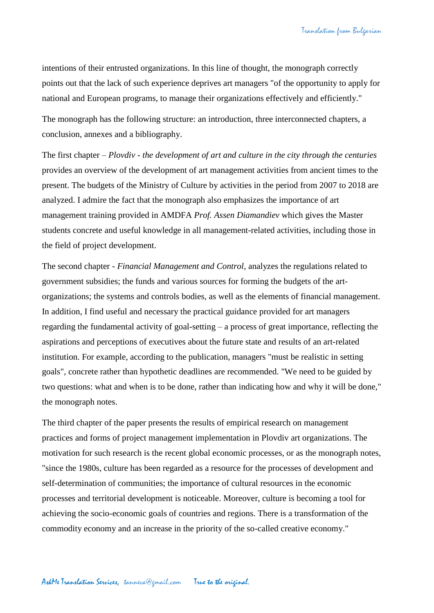intentions of their entrusted organizations. In this line of thought, the monograph correctly points out that the lack of such experience deprives art managers "of the opportunity to apply for national and European programs, to manage their organizations effectively and efficiently."

The monograph has the following structure: an introduction, three interconnected chapters, a conclusion, annexes and a bibliography.

The first chapter – *Plovdiv - the development of art and culture in the city through the centuries* provides an overview of the development of art management activities from ancient times to the present. The budgets of the Ministry of Culture by activities in the period from 2007 to 2018 are analyzed. I admire the fact that the monograph also emphasizes the importance of art management training provided in AMDFA *Prof. Assen Diamandiev* which gives the Master students concrete and useful knowledge in all management-related activities, including those in the field of project development.

The second chapter *- Financial Management and Control*, analyzes the regulations related to government subsidies; the funds and various sources for forming the budgets of the artorganizations; the systems and controls bodies, as well as the elements of financial management. In addition, I find useful and necessary the practical guidance provided for art managers regarding the fundamental activity of goal-setting – a process of great importance, reflecting the aspirations and perceptions of executives about the future state and results of an art-related institution. For example, according to the publication, managers "must be realistic in setting goals", concrete rather than hypothetic deadlines are recommended. "We need to be guided by two questions: what and when is to be done, rather than indicating how and why it will be done," the monograph notes.

The third chapter of the paper presents the results of empirical research on management practices and forms of project management implementation in Plovdiv art organizations. The motivation for such research is the recent global economic processes, or as the monograph notes, "since the 1980s, culture has been regarded as a resource for the processes of development and self-determination of communities; the importance of cultural resources in the economic processes and territorial development is noticeable. Moreover, culture is becoming a tool for achieving the socio-economic goals of countries and regions. There is a transformation of the commodity economy and an increase in the priority of the so-called creative economy."